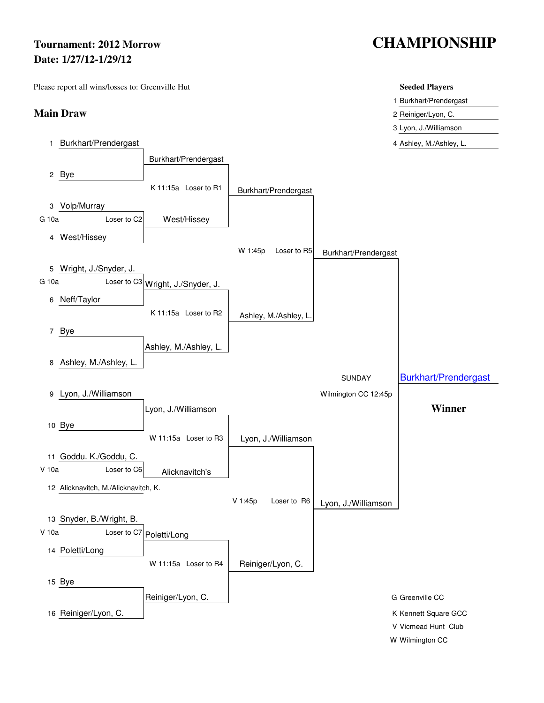# **Date: 1/27/12-1/29/12**

Please report all wins/losses to: Greenville Hut **Seeded Players** Seeded Players

### **Main Draw** 2 Reiniger/Lyon, C.

# **Tournament: 2012 Morrow CHAMPIONSHIP**

- 1 Burkhart/Prendergast
- 3 Lyon, J./Williamson
- 1 Burkhart/Prendergast **4 Ashley, M./Ashley, L.**

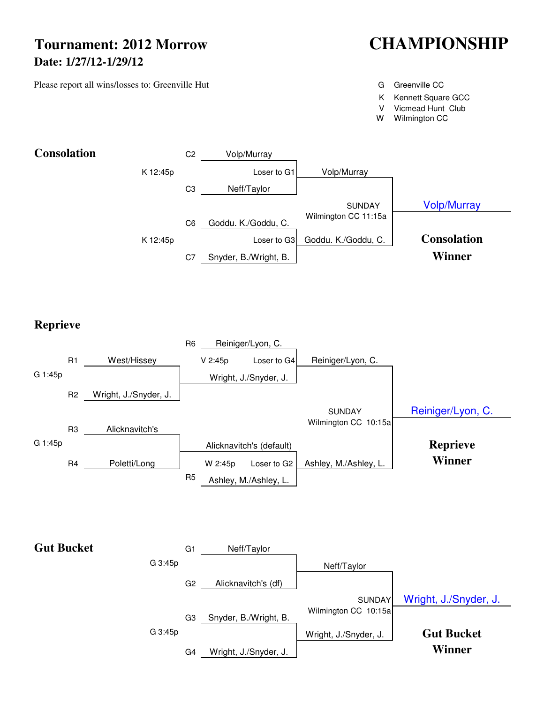## **Tournament: 2012 Morrow CHAMPIONSHIP Date: 1/27/12-1/29/12**

Please report all wins/losses to: Greenville Hut G Greenville CC Greenville CC

- 
- K Kennett Square GCC
- V Vicmead Hunt Club
- W Wilmington CC



**Reprieve**



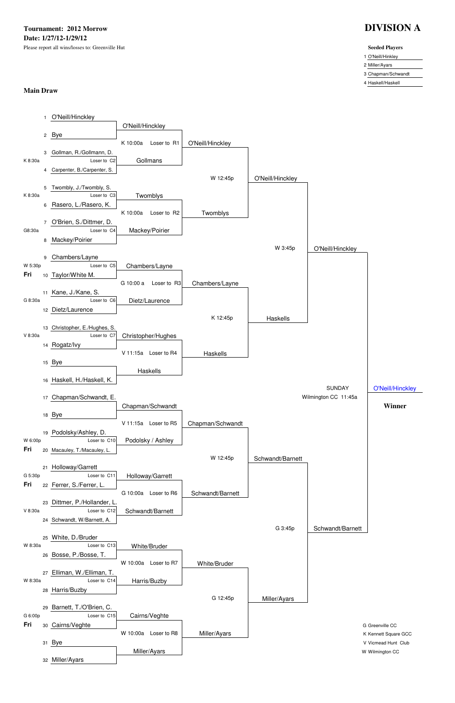**Tournament: 2012 Morrow DIVISION A Date: 1/27/12-1/29/12** Please report all wins/losses to: Greenville Hut **Seeded Players**

### 1 O'Neill/Hinkley

2 Miller/Ayars

3 Chapman/Schwandt

4 Haskell/Haskell

### **Main Draw**

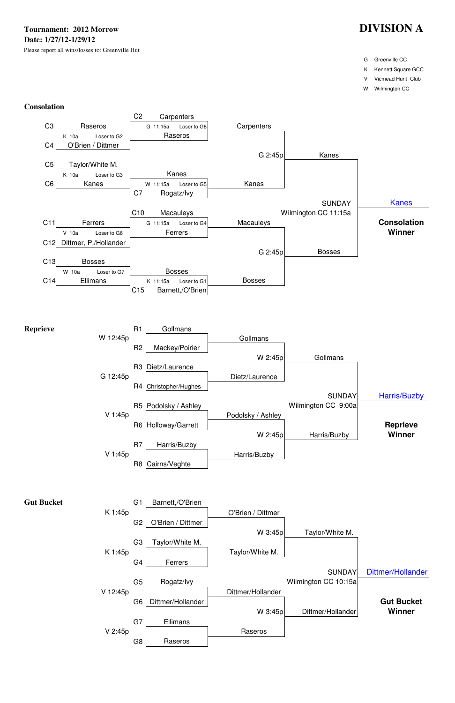- G Greenville CC
- K Kennett Square GCC

V Vicmead Hunt Club

W Wilmington CC

### **Consolation**



| <b>Gut Bucket</b> |         | G1 Barnett,/O'Brien |                   |
|-------------------|---------|---------------------|-------------------|
|                   | K 1:45p |                     | O'Brien / Dittmer |



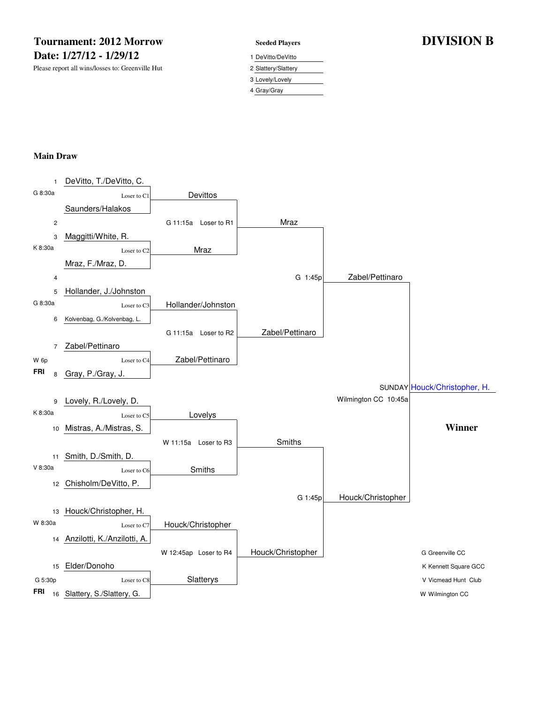### **Tournament: 2012 Morrow Seeded Players DIVISION B Date: 1/27/12 - 1/29/12** 1 DeVitto/DeVitto

Please report all wins/losses to: Greenville Hut 2 Slattery/Slattery

3 Lovely/Lovely

4 Gray/Gray

### **Main Draw**